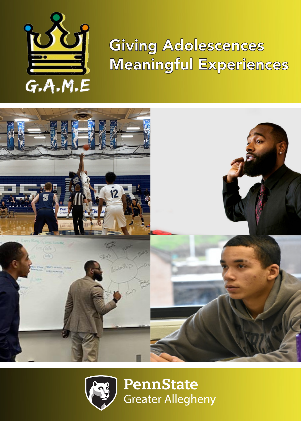

## Giving Adolescences Meaningful Experiences



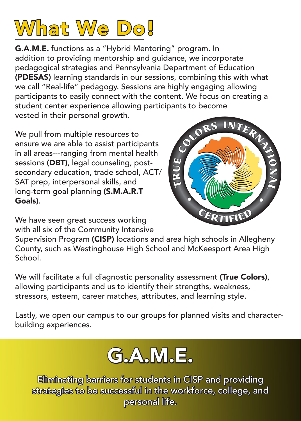

G.A.M.E. functions as a "Hybrid Mentoring" program. In addition to providing mentorship and guidance, we incorporate pedagogical strategies and Pennsylvania Department of Education (PDESAS) learning standards in our sessions, combining this with what we call "Real-life" pedagogy. Sessions are highly engaging allowing participants to easily connect with the content. We focus on creating a student center experience allowing participants to become<br>vested in their personal growth.<br>All the multiple resources to vested in their personal growth.

We pull from multiple resources to ensure we are able to assist participants in all areas---ranging from mental health sessions (DBT), legal counseling, postsecondary education, trade school, ACT/ SAT prep, interpersonal skills, and long-term goal planning (S.M.A.R.T Goals).



We have seen great success working with all six of the Community Intensive

Supervision Program (CISP) locations and area high schools in Allegheny County, such as Westinghouse High School and McKeesport Area High School.

We will facilitate a full diagnostic personality assessment (True Colors), allowing participants and us to identify their strengths, weakness, stressors, esteem, career matches, attributes, and learning style.

Lastly, we open our campus to our groups for planned visits and characterbuilding experiences.



Eliminating barriers for students in CISP and providing strategies to be successful in the workforce, college, and personal life.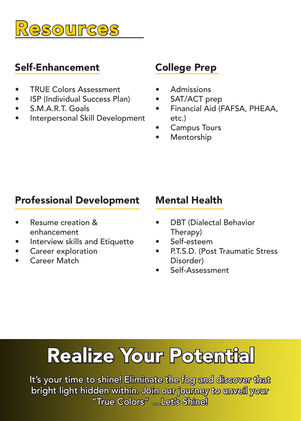

#### Self-Enhancement

- TRUE Colors Assessment
- ISP (Individual Success Plan)
- S.M.A.R.T. Goals
- Interpersonal Skill Development

### College Prep

- Admissions
- SAT/ACT prep
- Financial Aid (FAFSA, PHEAA, etc.)
- Campus Tours
- **Mentorship**

### Professional Development

- Resume creation & enhancement
- Interview skills and Etiquette
- Career exploration
- Career Match

### Mental Health

- DBT (Dialectal Behavior Therapy)
- Self-esteem
- P.T.S.D. (Post Traumatic Stress Disorder)
- Self-Assessment

# Realize Your Potential

It's your time to shine! Eliminate the fog and discover that bright light hidden within. Join our journey to unveil your "True Colors" …Let's Shine!